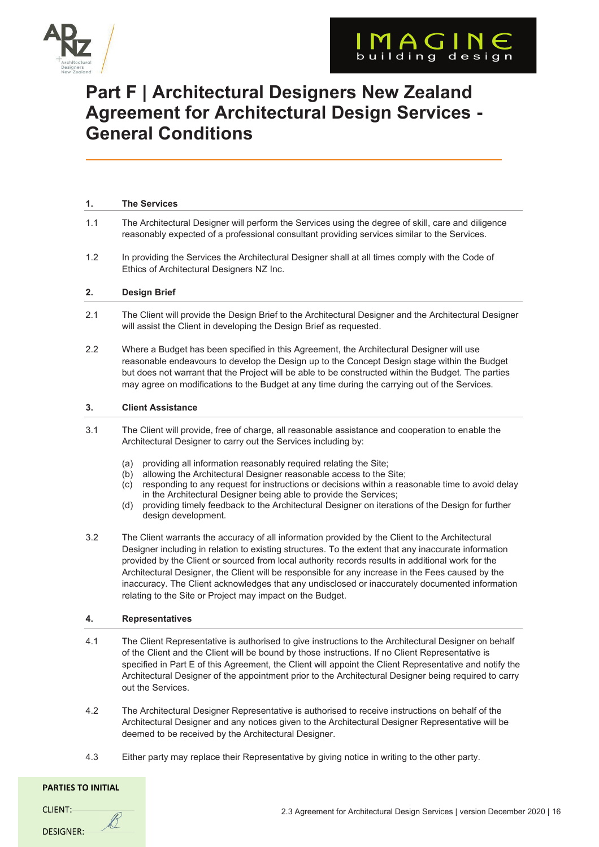

# **Part F | Architectural Designers New Zealand Agreement for Architectural Design Services - General Conditions**

# **1. The Services**

- 1.1 The Architectural Designer will perform the Services using the degree of skill, care and diligence reasonably expected of a professional consultant providing services similar to the Services.
- 1.2 In providing the Services the Architectural Designer shall at all times comply with the Code of Ethics of Architectural Designers NZ Inc.

# **2. Design Brief**

- 2.1 The Client will provide the Design Brief to the Architectural Designer and the Architectural Designer will assist the Client in developing the Design Brief as requested.
- 2.2 Where a Budget has been specified in this Agreement, the Architectural Designer will use reasonable endeavours to develop the Design up to the Concept Design stage within the Budget but does not warrant that the Project will be able to be constructed within the Budget. The parties may agree on modifications to the Budget at any time during the carrying out of the Services.

# **3. Client Assistance**

- 3.1 The Client will provide, free of charge, all reasonable assistance and cooperation to enable the Architectural Designer to carry out the Services including by:
	- (a) providing all information reasonably required relating the Site;
	- (b) allowing the Architectural Designer reasonable access to the Site;<br>(c) responding to any request for instructions or decisions within a rea
	- responding to any request for instructions or decisions within a reasonable time to avoid delay in the Architectural Designer being able to provide the Services;
	- (d) providing timely feedback to the Architectural Designer on iterations of the Design for further design development.
- 3.2 The Client warrants the accuracy of all information provided by the Client to the Architectural Designer including in relation to existing structures. To the extent that any inaccurate information provided by the Client or sourced from local authority records results in additional work for the Architectural Designer, the Client will be responsible for any increase in the Fees caused by the inaccuracy. The Client acknowledges that any undisclosed or inaccurately documented information relating to the Site or Project may impact on the Budget.

# **4. Representatives**

- 4.1 The Client Representative is authorised to give instructions to the Architectural Designer on behalf of the Client and the Client will be bound by those instructions. If no Client Representative is specified in Part E of this Agreement, the Client will appoint the Client Representative and notify the Architectural Designer of the appointment prior to the Architectural Designer being required to carry out the Services.
- 4.2 The Architectural Designer Representative is authorised to receive instructions on behalf of the Architectural Designer and any notices given to the Architectural Designer Representative will be deemed to be received by the Architectural Designer.
- 4.3 Either party may replace their Representative by giving notice in writing to the other party.

# **PARTIES TO INITIAL**

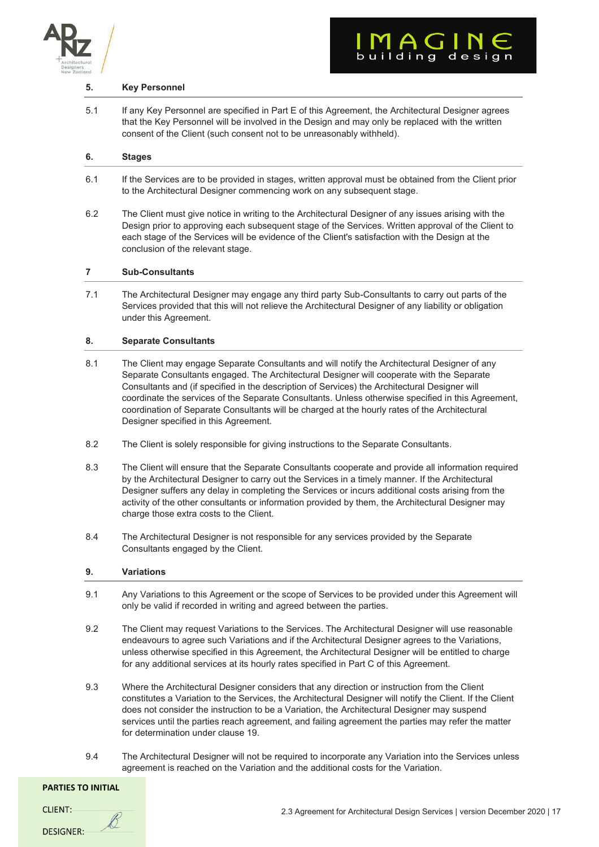

# **5. Key Personnel**

5.1 If any Key Personnel are specified in Part E of this Agreement, the Architectural Designer agrees that the Key Personnel will be involved in the Design and may only be replaced with the written consent of the Client (such consent not to be unreasonably withheld).

# **6. Stages**

- 6.1 If the Services are to be provided in stages, written approval must be obtained from the Client prior to the Architectural Designer commencing work on any subsequent stage.
- 6.2 The Client must give notice in writing to the Architectural Designer of any issues arising with the Design prior to approving each subsequent stage of the Services. Written approval of the Client to each stage of the Services will be evidence of the Client's satisfaction with the Design at the conclusion of the relevant stage.

# **7 Sub-Consultants**

7.1 The Architectural Designer may engage any third party Sub-Consultants to carry out parts of the Services provided that this will not relieve the Architectural Designer of any liability or obligation under this Agreement.

# **8. Separate Consultants**

- 8.1 The Client may engage Separate Consultants and will notify the Architectural Designer of any Separate Consultants engaged. The Architectural Designer will cooperate with the Separate Consultants and (if specified in the description of Services) the Architectural Designer will coordinate the services of the Separate Consultants. Unless otherwise specified in this Agreement, coordination of Separate Consultants will be charged at the hourly rates of the Architectural Designer specified in this Agreement.
- 8.2 The Client is solely responsible for giving instructions to the Separate Consultants.
- 8.3 The Client will ensure that the Separate Consultants cooperate and provide all information required by the Architectural Designer to carry out the Services in a timely manner. If the Architectural Designer suffers any delay in completing the Services or incurs additional costs arising from the activity of the other consultants or information provided by them, the Architectural Designer may charge those extra costs to the Client.
- 8.4 The Architectural Designer is not responsible for any services provided by the Separate Consultants engaged by the Client.

# **9. Variations**

- 9.1 Any Variations to this Agreement or the scope of Services to be provided under this Agreement will only be valid if recorded in writing and agreed between the parties.
- 9.2 The Client may request Variations to the Services. The Architectural Designer will use reasonable endeavours to agree such Variations and if the Architectural Designer agrees to the Variations, unless otherwise specified in this Agreement, the Architectural Designer will be entitled to charge for any additional services at its hourly rates specified in Part C of this Agreement.
- 9.3 Where the Architectural Designer considers that any direction or instruction from the Client constitutes a Variation to the Services, the Architectural Designer will notify the Client. If the Client does not consider the instruction to be a Variation, the Architectural Designer may suspend services until the parties reach agreement, and failing agreement the parties may refer the matter for determination under clause 19.
- 9.4 The Architectural Designer will not be required to incorporate any Variation into the Services unless agreement is reached on the Variation and the additional costs for the Variation.

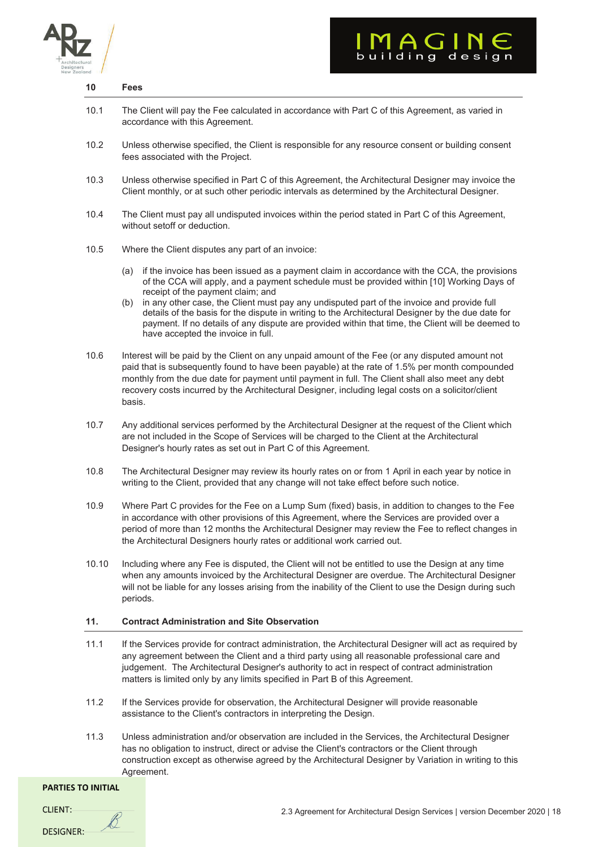

| 10   | <b>Fees</b>                                                                                                                                                                                            |
|------|--------------------------------------------------------------------------------------------------------------------------------------------------------------------------------------------------------|
| 10.1 | The Client will pay the Fee calculated in accordance with Part C of this Agreement, as varied in<br>accordance with this Agreement.                                                                    |
| 10.2 | Unless otherwise specified, the Client is responsible for any resource consent or building consent<br>fees associated with the Project.                                                                |
| 10.3 | Unless otherwise specified in Part C of this Agreement, the Architectural Designer may invoice the<br>Client monthly, or at such other periodic intervals as determined by the Architectural Designer. |
| 10.4 | The Client must pay all undisputed invoices within the period stated in Part C of this Agreement,<br>without setoff or deduction.                                                                      |

- 10.5 Where the Client disputes any part of an invoice:
	- (a) if the invoice has been issued as a payment claim in accordance with the CCA, the provisions of the CCA will apply, and a payment schedule must be provided within [10] Working Days of receipt of the payment claim; and
	- (b) in any other case, the Client must pay any undisputed part of the invoice and provide full details of the basis for the dispute in writing to the Architectural Designer by the due date for payment. If no details of any dispute are provided within that time, the Client will be deemed to have accepted the invoice in full.
- 10.6 Interest will be paid by the Client on any unpaid amount of the Fee (or any disputed amount not paid that is subsequently found to have been payable) at the rate of 1.5% per month compounded monthly from the due date for payment until payment in full. The Client shall also meet any debt recovery costs incurred by the Architectural Designer, including legal costs on a solicitor/client basis.
- 10.7 Any additional services performed by the Architectural Designer at the request of the Client which are not included in the Scope of Services will be charged to the Client at the Architectural Designer's hourly rates as set out in Part C of this Agreement.
- 10.8 The Architectural Designer may review its hourly rates on or from 1 April in each year by notice in writing to the Client, provided that any change will not take effect before such notice.
- 10.9 Where Part C provides for the Fee on a Lump Sum (fixed) basis, in addition to changes to the Fee in accordance with other provisions of this Agreement, where the Services are provided over a period of more than 12 months the Architectural Designer may review the Fee to reflect changes in the Architectural Designers hourly rates or additional work carried out.
- 10.10 Including where any Fee is disputed, the Client will not be entitled to use the Design at any time when any amounts invoiced by the Architectural Designer are overdue. The Architectural Designer will not be liable for any losses arising from the inability of the Client to use the Design during such periods.

# **11. Contract Administration and Site Observation**

- 11.1 If the Services provide for contract administration, the Architectural Designer will act as required by any agreement between the Client and a third party using all reasonable professional care and judgement. The Architectural Designer's authority to act in respect of contract administration matters is limited only by any limits specified in Part B of this Agreement.
- 11.2 If the Services provide for observation, the Architectural Designer will provide reasonable assistance to the Client's contractors in interpreting the Design.
- 11.3 Unless administration and/or observation are included in the Services, the Architectural Designer has no obligation to instruct, direct or advise the Client's contractors or the Client through construction except as otherwise agreed by the Architectural Designer by Variation in writing to this Agreement.

# **PARTIES TO INITIAL**

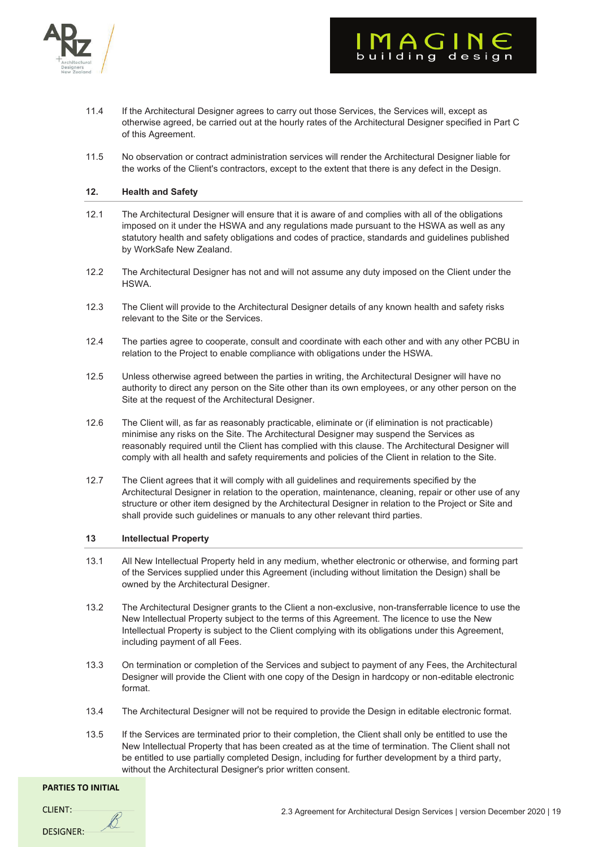

- 11.4 If the Architectural Designer agrees to carry out those Services, the Services will, except as otherwise agreed, be carried out at the hourly rates of the Architectural Designer specified in Part C of this Agreement.
- 11.5 No observation or contract administration services will render the Architectural Designer liable for the works of the Client's contractors, except to the extent that there is any defect in the Design.

### **12. Health and Safety**

- 12.1 The Architectural Designer will ensure that it is aware of and complies with all of the obligations imposed on it under the HSWA and any regulations made pursuant to the HSWA as well as any statutory health and safety obligations and codes of practice, standards and guidelines published by WorkSafe New Zealand.
- 12.2 The Architectural Designer has not and will not assume any duty imposed on the Client under the HSWA.
- 12.3 The Client will provide to the Architectural Designer details of any known health and safety risks relevant to the Site or the Services.
- 12.4 The parties agree to cooperate, consult and coordinate with each other and with any other PCBU in relation to the Project to enable compliance with obligations under the HSWA.
- 12.5 Unless otherwise agreed between the parties in writing, the Architectural Designer will have no authority to direct any person on the Site other than its own employees, or any other person on the Site at the request of the Architectural Designer.
- 12.6 The Client will, as far as reasonably practicable, eliminate or (if elimination is not practicable) minimise any risks on the Site. The Architectural Designer may suspend the Services as reasonably required until the Client has complied with this clause. The Architectural Designer will comply with all health and safety requirements and policies of the Client in relation to the Site.
- 12.7 The Client agrees that it will comply with all guidelines and requirements specified by the Architectural Designer in relation to the operation, maintenance, cleaning, repair or other use of any structure or other item designed by the Architectural Designer in relation to the Project or Site and shall provide such guidelines or manuals to any other relevant third parties.

# **13 Intellectual Property**

- 13.1 All New Intellectual Property held in any medium, whether electronic or otherwise, and forming part of the Services supplied under this Agreement (including without limitation the Design) shall be owned by the Architectural Designer.
- 13.2 The Architectural Designer grants to the Client a non-exclusive, non-transferrable licence to use the New Intellectual Property subject to the terms of this Agreement. The licence to use the New Intellectual Property is subject to the Client complying with its obligations under this Agreement, including payment of all Fees.
- 13.3 On termination or completion of the Services and subject to payment of any Fees, the Architectural Designer will provide the Client with one copy of the Design in hardcopy or non-editable electronic format.
- 13.4 The Architectural Designer will not be required to provide the Design in editable electronic format.
- 13.5 If the Services are terminated prior to their completion, the Client shall only be entitled to use the New Intellectual Property that has been created as at the time of termination. The Client shall not be entitled to use partially completed Design, including for further development by a third party, without the Architectural Designer's prior written consent.

#### **PARTIES TO INITIAL**

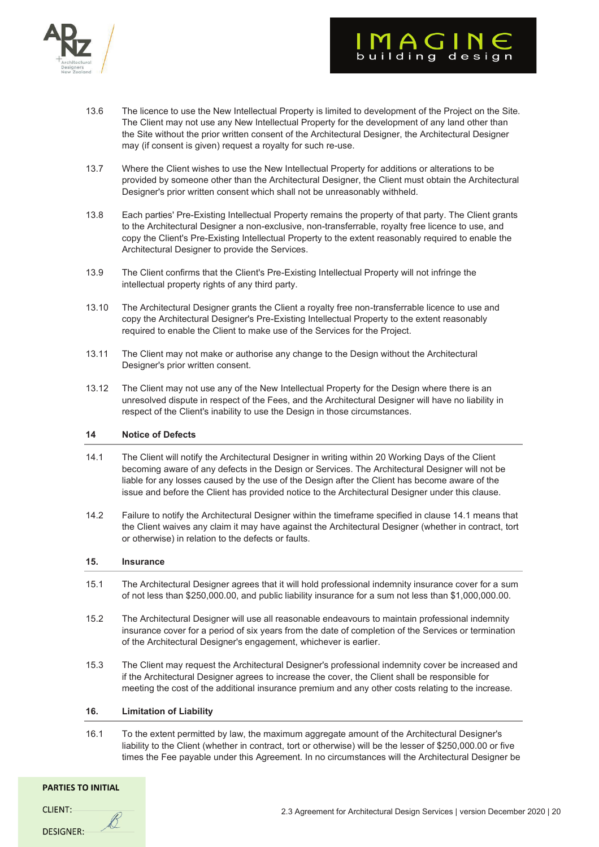

AGI

- 13.7 Where the Client wishes to use the New Intellectual Property for additions or alterations to be provided by someone other than the Architectural Designer, the Client must obtain the Architectural Designer's prior written consent which shall not be unreasonably withheld.
- 13.8 Each parties' Pre-Existing Intellectual Property remains the property of that party. The Client grants to the Architectural Designer a non-exclusive, non-transferrable, royalty free licence to use, and copy the Client's Pre-Existing Intellectual Property to the extent reasonably required to enable the Architectural Designer to provide the Services.
- 13.9 The Client confirms that the Client's Pre-Existing Intellectual Property will not infringe the intellectual property rights of any third party.
- 13.10 The Architectural Designer grants the Client a royalty free non-transferrable licence to use and copy the Architectural Designer's Pre-Existing Intellectual Property to the extent reasonably required to enable the Client to make use of the Services for the Project.
- 13.11 The Client may not make or authorise any change to the Design without the Architectural Designer's prior written consent.
- 13.12 The Client may not use any of the New Intellectual Property for the Design where there is an unresolved dispute in respect of the Fees, and the Architectural Designer will have no liability in respect of the Client's inability to use the Design in those circumstances.

# **14 Notice of Defects**

- 14.1 The Client will notify the Architectural Designer in writing within 20 Working Days of the Client becoming aware of any defects in the Design or Services. The Architectural Designer will not be liable for any losses caused by the use of the Design after the Client has become aware of the issue and before the Client has provided notice to the Architectural Designer under this clause.
- 14.2 Failure to notify the Architectural Designer within the timeframe specified in clause 14.1 means that the Client waives any claim it may have against the Architectural Designer (whether in contract, tort or otherwise) in relation to the defects or faults.

#### **15. Insurance**

- 15.1 The Architectural Designer agrees that it will hold professional indemnity insurance cover for a sum of not less than \$250,000.00, and public liability insurance for a sum not less than \$1,000,000.00.
- 15.2 The Architectural Designer will use all reasonable endeavours to maintain professional indemnity insurance cover for a period of six years from the date of completion of the Services or termination of the Architectural Designer's engagement, whichever is earlier.
- 15.3 The Client may request the Architectural Designer's professional indemnity cover be increased and if the Architectural Designer agrees to increase the cover, the Client shall be responsible for meeting the cost of the additional insurance premium and any other costs relating to the increase.

# **16. Limitation of Liability**

16.1 To the extent permitted by law, the maximum aggregate amount of the Architectural Designer's liability to the Client (whether in contract, tort or otherwise) will be the lesser of \$250,000.00 or five times the Fee payable under this Agreement. In no circumstances will the Architectural Designer be

| <b>CLIENT:</b>   |  |
|------------------|--|
| <b>DESIGNER:</b> |  |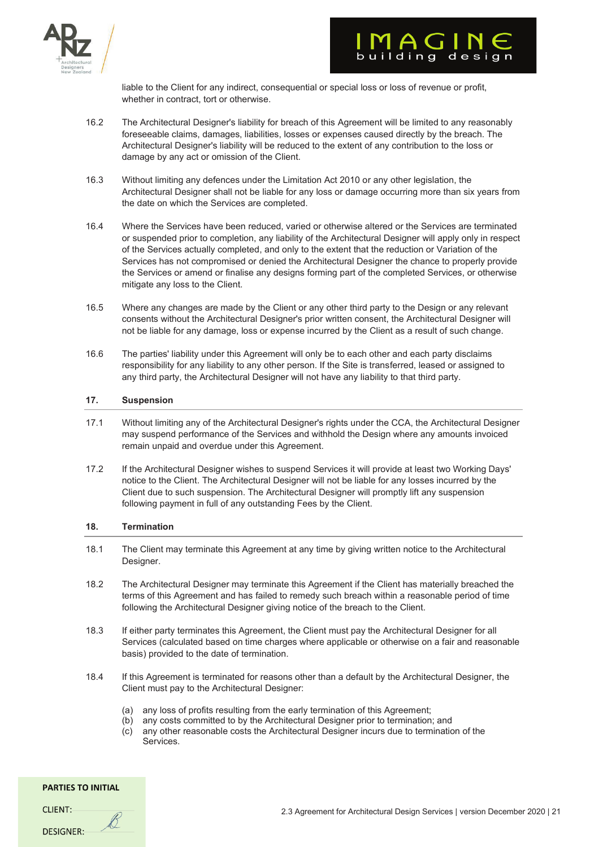

liable to the Client for any indirect, consequential or special loss or loss of revenue or profit, whether in contract, tort or otherwise.

- 16.2 The Architectural Designer's liability for breach of this Agreement will be limited to any reasonably foreseeable claims, damages, liabilities, losses or expenses caused directly by the breach. The Architectural Designer's liability will be reduced to the extent of any contribution to the loss or damage by any act or omission of the Client.
- 16.3 Without limiting any defences under the Limitation Act 2010 or any other legislation, the Architectural Designer shall not be liable for any loss or damage occurring more than six years from the date on which the Services are completed.
- 16.4 Where the Services have been reduced, varied or otherwise altered or the Services are terminated or suspended prior to completion, any liability of the Architectural Designer will apply only in respect of the Services actually completed, and only to the extent that the reduction or Variation of the Services has not compromised or denied the Architectural Designer the chance to properly provide the Services or amend or finalise any designs forming part of the completed Services, or otherwise mitigate any loss to the Client.
- 16.5 Where any changes are made by the Client or any other third party to the Design or any relevant consents without the Architectural Designer's prior written consent, the Architectural Designer will not be liable for any damage, loss or expense incurred by the Client as a result of such change.
- 16.6 The parties' liability under this Agreement will only be to each other and each party disclaims responsibility for any liability to any other person. If the Site is transferred, leased or assigned to any third party, the Architectural Designer will not have any liability to that third party.

# **17. Suspension**

- 17.1 Without limiting any of the Architectural Designer's rights under the CCA, the Architectural Designer may suspend performance of the Services and withhold the Design where any amounts invoiced remain unpaid and overdue under this Agreement.
- 17.2 If the Architectural Designer wishes to suspend Services it will provide at least two Working Days' notice to the Client. The Architectural Designer will not be liable for any losses incurred by the Client due to such suspension. The Architectural Designer will promptly lift any suspension following payment in full of any outstanding Fees by the Client.

# **18. Termination**

- 18.1 The Client may terminate this Agreement at any time by giving written notice to the Architectural Designer.
- 18.2 The Architectural Designer may terminate this Agreement if the Client has materially breached the terms of this Agreement and has failed to remedy such breach within a reasonable period of time following the Architectural Designer giving notice of the breach to the Client.
- 18.3 If either party terminates this Agreement, the Client must pay the Architectural Designer for all Services (calculated based on time charges where applicable or otherwise on a fair and reasonable basis) provided to the date of termination.
- 18.4 If this Agreement is terminated for reasons other than a default by the Architectural Designer, the Client must pay to the Architectural Designer:
	- (a) any loss of profits resulting from the early termination of this Agreement;
	- (b) any costs committed to by the Architectural Designer prior to termination; and
	- (c) any other reasonable costs the Architectural Designer incurs due to termination of the Services.

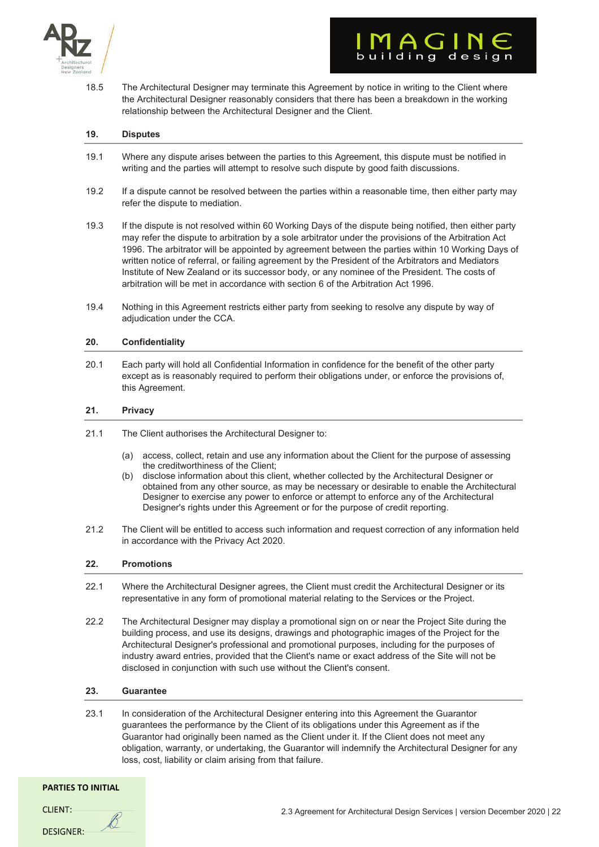

18.5 The Architectural Designer may terminate this Agreement by notice in writing to the Client where the Architectural Designer reasonably considers that there has been a breakdown in the working relationship between the Architectural Designer and the Client.

## **19. Disputes**

- 19.1 Where any dispute arises between the parties to this Agreement, this dispute must be notified in writing and the parties will attempt to resolve such dispute by good faith discussions.
- 19.2 If a dispute cannot be resolved between the parties within a reasonable time, then either party may refer the dispute to mediation.
- 19.3 If the dispute is not resolved within 60 Working Days of the dispute being notified, then either party may refer the dispute to arbitration by a sole arbitrator under the provisions of the Arbitration Act 1996. The arbitrator will be appointed by agreement between the parties within 10 Working Days of written notice of referral, or failing agreement by the President of the Arbitrators and Mediators Institute of New Zealand or its successor body, or any nominee of the President. The costs of arbitration will be met in accordance with section 6 of the Arbitration Act 1996.
- 19.4 Nothing in this Agreement restricts either party from seeking to resolve any dispute by way of adjudication under the CCA.

#### **20. Confidentiality**

20.1 Each party will hold all Confidential Information in confidence for the benefit of the other party except as is reasonably required to perform their obligations under, or enforce the provisions of, this Agreement.

### **21. Privacy**

- 21.1 The Client authorises the Architectural Designer to:
	- (a) access, collect, retain and use any information about the Client for the purpose of assessing the creditworthiness of the Client;
	- (b) disclose information about this client, whether collected by the Architectural Designer or obtained from any other source, as may be necessary or desirable to enable the Architectural Designer to exercise any power to enforce or attempt to enforce any of the Architectural Designer's rights under this Agreement or for the purpose of credit reporting.
- 21.2 The Client will be entitled to access such information and request correction of any information held in accordance with the Privacy Act 2020.

#### **22. Promotions**

- 22.1 Where the Architectural Designer agrees, the Client must credit the Architectural Designer or its representative in any form of promotional material relating to the Services or the Project.
- 22.2 The Architectural Designer may display a promotional sign on or near the Project Site during the building process, and use its designs, drawings and photographic images of the Project for the Architectural Designer's professional and promotional purposes, including for the purposes of industry award entries, provided that the Client's name or exact address of the Site will not be disclosed in conjunction with such use without the Client's consent.

#### **23. Guarantee**

23.1 In consideration of the Architectural Designer entering into this Agreement the Guarantor guarantees the performance by the Client of its obligations under this Agreement as if the Guarantor had originally been named as the Client under it. If the Client does not meet any obligation, warranty, or undertaking, the Guarantor will indemnify the Architectural Designer for any loss, cost, liability or claim arising from that failure.

| <b>CLIENT:</b> |
|----------------|
| DESIGNER:      |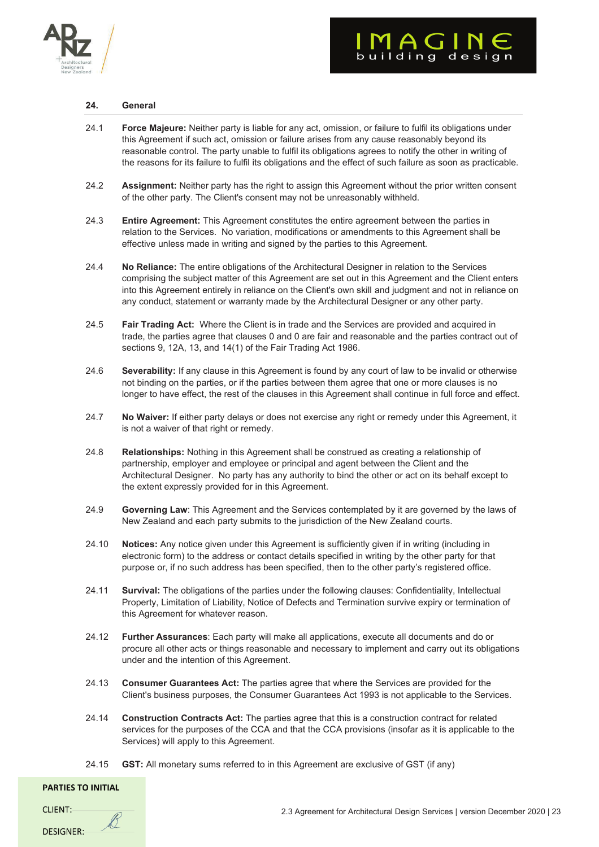

#### **24. General**

- 24.1 **Force Majeure:** Neither party is liable for any act, omission, or failure to fulfil its obligations under this Agreement if such act, omission or failure arises from any cause reasonably beyond its reasonable control. The party unable to fulfil its obligations agrees to notify the other in writing of the reasons for its failure to fulfil its obligations and the effect of such failure as soon as practicable.
- 24.2 **Assignment:** Neither party has the right to assign this Agreement without the prior written consent of the other party. The Client's consent may not be unreasonably withheld.
- 24.3 **Entire Agreement:** This Agreement constitutes the entire agreement between the parties in relation to the Services. No variation, modifications or amendments to this Agreement shall be effective unless made in writing and signed by the parties to this Agreement.
- 24.4 **No Reliance:** The entire obligations of the Architectural Designer in relation to the Services comprising the subject matter of this Agreement are set out in this Agreement and the Client enters into this Agreement entirely in reliance on the Client's own skill and judgment and not in reliance on any conduct, statement or warranty made by the Architectural Designer or any other party.
- 24.5 **Fair Trading Act:** Where the Client is in trade and the Services are provided and acquired in trade, the parties agree that clauses 0 and 0 are fair and reasonable and the parties contract out of sections 9, 12A, 13, and 14(1) of the Fair Trading Act 1986.
- 24.6 **Severability:** If any clause in this Agreement is found by any court of law to be invalid or otherwise not binding on the parties, or if the parties between them agree that one or more clauses is no longer to have effect, the rest of the clauses in this Agreement shall continue in full force and effect.
- 24.7 **No Waiver:** If either party delays or does not exercise any right or remedy under this Agreement, it is not a waiver of that right or remedy.
- 24.8 **Relationships:** Nothing in this Agreement shall be construed as creating a relationship of partnership, employer and employee or principal and agent between the Client and the Architectural Designer. No party has any authority to bind the other or act on its behalf except to the extent expressly provided for in this Agreement.
- 24.9 **Governing Law**: This Agreement and the Services contemplated by it are governed by the laws of New Zealand and each party submits to the jurisdiction of the New Zealand courts.
- 24.10 **Notices:** Any notice given under this Agreement is sufficiently given if in writing (including in electronic form) to the address or contact details specified in writing by the other party for that purpose or, if no such address has been specified, then to the other party's registered office.
- 24.11 **Survival:** The obligations of the parties under the following clauses: Confidentiality, Intellectual Property, Limitation of Liability, Notice of Defects and Termination survive expiry or termination of this Agreement for whatever reason.
- 24.12 **Further Assurances**: Each party will make all applications, execute all documents and do or procure all other acts or things reasonable and necessary to implement and carry out its obligations under and the intention of this Agreement.
- 24.13 **Consumer Guarantees Act:** The parties agree that where the Services are provided for the Client's business purposes, the Consumer Guarantees Act 1993 is not applicable to the Services.
- 24.14 **Construction Contracts Act:** The parties agree that this is a construction contract for related services for the purposes of the CCA and that the CCA provisions (insofar as it is applicable to the Services) will apply to this Agreement.
- 24.15 **GST:** All monetary sums referred to in this Agreement are exclusive of GST (if any)

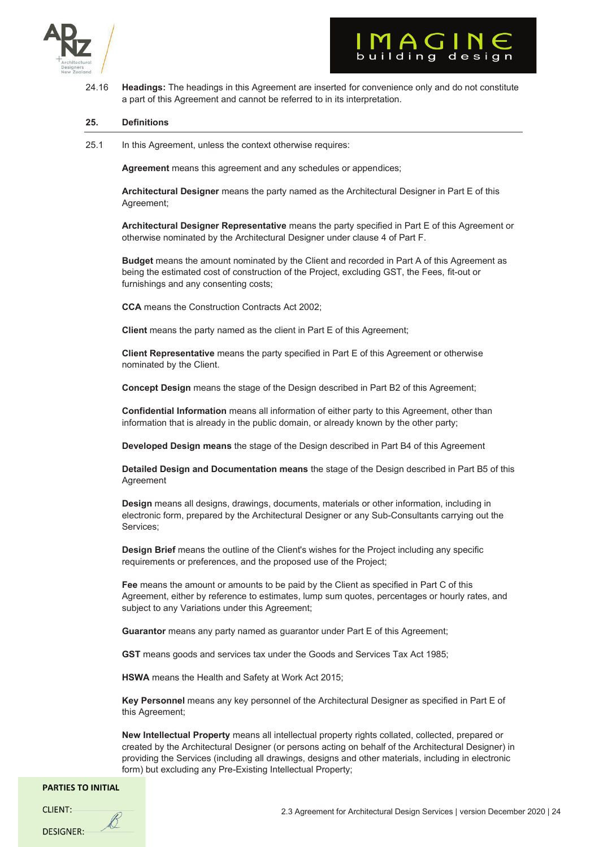



24.16 **Headings:** The headings in this Agreement are inserted for convenience only and do not constitute a part of this Agreement and cannot be referred to in its interpretation.

#### **25. Definitions**

25.1 In this Agreement, unless the context otherwise requires:

**Agreement** means this agreement and any schedules or appendices;

**Architectural Designer** means the party named as the Architectural Designer in Part E of this Agreement;

**Architectural Designer Representative** means the party specified in Part E of this Agreement or otherwise nominated by the Architectural Designer under clause 4 of Part F.

**Budget** means the amount nominated by the Client and recorded in Part A of this Agreement as being the estimated cost of construction of the Project, excluding GST, the Fees, fit-out or furnishings and any consenting costs;

**CCA** means the Construction Contracts Act 2002;

**Client** means the party named as the client in Part E of this Agreement;

**Client Representative** means the party specified in Part E of this Agreement or otherwise nominated by the Client.

**Concept Design** means the stage of the Design described in Part B2 of this Agreement;

**Confidential Information** means all information of either party to this Agreement, other than information that is already in the public domain, or already known by the other party;

**Developed Design means** the stage of the Design described in Part B4 of this Agreement

**Detailed Design and Documentation means** the stage of the Design described in Part B5 of this **Agreement** 

**Design** means all designs, drawings, documents, materials or other information, including in electronic form, prepared by the Architectural Designer or any Sub-Consultants carrying out the Services;

**Design Brief** means the outline of the Client's wishes for the Project including any specific requirements or preferences, and the proposed use of the Project;

**Fee** means the amount or amounts to be paid by the Client as specified in Part C of this Agreement, either by reference to estimates, lump sum quotes, percentages or hourly rates, and subject to any Variations under this Agreement;

**Guarantor** means any party named as guarantor under Part E of this Agreement;

**GST** means goods and services tax under the Goods and Services Tax Act 1985;

**HSWA** means the Health and Safety at Work Act 2015;

**Key Personnel** means any key personnel of the Architectural Designer as specified in Part E of this Agreement;

**New Intellectual Property** means all intellectual property rights collated, collected, prepared or created by the Architectural Designer (or persons acting on behalf of the Architectural Designer) in providing the Services (including all drawings, designs and other materials, including in electronic form) but excluding any Pre-Existing Intellectual Property;

### **PARTIES TO INITIAL**